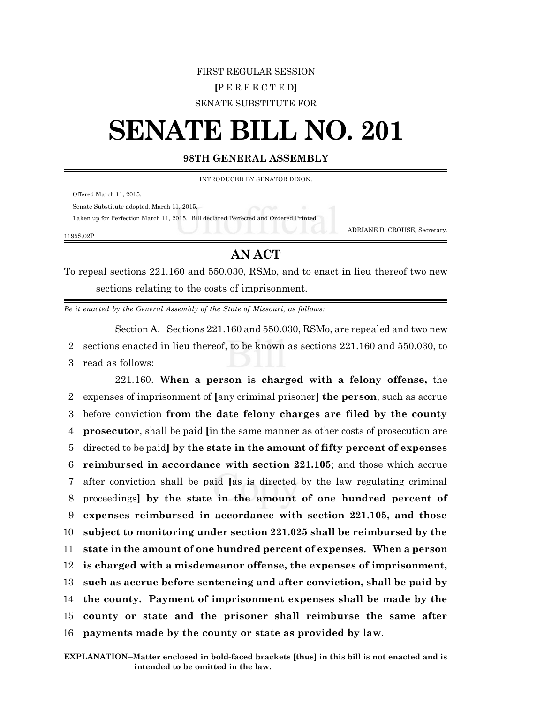## FIRST REGULAR SESSION **[**P E R F E C T E D**]** SENATE SUBSTITUTE FOR

## **SENATE BILL NO. 201**

## **98TH GENERAL ASSEMBLY**

INTRODUCED BY SENATOR DIXON.

Offered March 11, 2015.

Senate Substitute adopted, March 11, 2015.

Taken up for Perfection March 11, 2015. Bill declared Perfected and Ordered Printed.

1195S.02P

## **AN ACT**

ADRIANE D. CROUSE, Secretary.

To repeal sections 221.160 and 550.030, RSMo, and to enact in lieu thereof two new sections relating to the costs of imprisonment.

*Be it enacted by the General Assembly of the State of Missouri, as follows:*

Section A. Sections 221.160 and 550.030, RSMo, are repealed and two new 2 sections enacted in lieu thereof, to be known as sections 221.160 and 550.030, to 3 read as follows:

221.160. **When a person is charged with a felony offense,** the expenses of imprisonment of **[**any criminal prisoner**] the person**, such as accrue before conviction **from the date felony charges are filed by the county prosecutor**, shall be paid **[**in the same manner as other costs of prosecution are directed to be paid**] by the state in the amount of fifty percent of expenses reimbursed in accordance with section 221.105**; and those which accrue after conviction shall be paid **[**as is directed by the law regulating criminal proceedings**] by the state in the amount of one hundred percent of expenses reimbursed in accordance with section 221.105, and those subject to monitoring under section 221.025 shall be reimbursed by the state in the amount of one hundred percent of expenses. When a person is charged with a misdemeanor offense, the expenses of imprisonment, such as accrue before sentencing and after conviction, shall be paid by the county. Payment of imprisonment expenses shall be made by the county or state and the prisoner shall reimburse the same after payments made by the county or state as provided by law**.